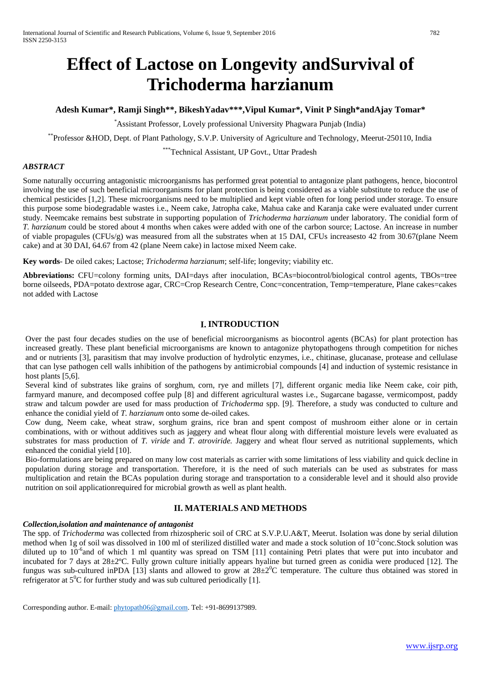# **Effect of Lactose on Longevity andSurvival of Trichoderma harzianum**

# **Adesh Kumar\*, Ramji Singh\*\*, BikeshYadav\*\*\*,Vipul Kumar\*, Vinit P Singh\*andAjay Tomar\***

*\** Assistant Professor, Lovely professional University Phagwara Punjab (India)

\*\*Professor &HOD, Dept. of Plant Pathology, S.V.P. University of Agriculture and Technology, Meerut-250110, India

# \*\*\*Technical Assistant, UP Govt., Uttar Pradesh

# *ABSTRACT*

Some naturally occurring antagonistic microorganisms has performed great potential to antagonize plant pathogens, hence, biocontrol involving the use of such beneficial microorganisms for plant protection is being considered as a viable substitute to reduce the use of chemical pesticides [1,2]. These microorganisms need to be multiplied and kept viable often for long period under storage. To ensure this purpose some biodegradable wastes i.e., Neem cake, Jatropha cake, Mahua cake and Karanja cake were evaluated under current study. Neemcake remains best substrate in supporting population of *Trichoderma harzianum* under laboratory. The conidial form of *T. harzianum* could be stored about 4 months when cakes were added with one of the carbon source; Lactose. An increase in number of viable propagules ( $CFUs/g$ ) was measured from all the substrates when at 15 DAI, CFUs increasesto 42 from 30.67(plane Neem cake) and at 30 DAI, 64.67 from 42 (plane Neem cake) in lactose mixed Neem cake.

**Key words**- De oiled cakes; Lactose; *Trichoderma harzianum*; self-life; longevity; viability etc.

**Abbreviations:** CFU=colony forming units, DAI=days after inoculation, BCAs=biocontrol/biological control agents, TBOs=tree borne oilseeds, PDA=potato dextrose agar, CRC=Crop Research Centre, Conc=concentration, Temp=temperature, Plane cakes=cakes not added with Lactose

# **I. INTRODUCTION**

Over the past four decades studies on the use of beneficial microorganisms as biocontrol agents (BCAs) for plant protection has increased greatly. These plant beneficial microorganisms are known to antagonize phytopathogens through competition for niches and or nutrients [3], parasitism that may involve production of hydrolytic enzymes, i.e., chitinase, glucanase, protease and cellulase that can lyse pathogen cell walls inhibition of the pathogens by antimicrobial compounds [4] and induction of systemic resistance in host plants [5,6].

Several kind of substrates like grains of sorghum, corn, rye and millets [7], different organic media like Neem cake, coir pith, farmyard manure, and decomposed coffee pulp [8] and different agricultural wastes i.e., Sugarcane bagasse, vermicompost, paddy straw and talcum powder are used for mass production of *Trichoderma* spp. [9]. Therefore, a study was conducted to culture and enhance the conidial yield of *T. harzianum* onto some de-oiled cakes.

Cow dung, Neem cake, wheat straw, sorghum grains, rice bran and spent compost of mushroom either alone or in certain combinations, with or without additives such as jaggery and wheat flour along with differential moisture levels were evaluated as substrates for mass production of *T. viride* and *T. atroviride.* Jaggery and wheat flour served as nutritional supplements, which enhanced the conidial yield [10].

Bio-formulations are being prepared on many low cost materials as carrier with some limitations of less viability and quick decline in population during storage and transportation. Therefore, it is the need of such materials can be used as substrates for mass multiplication and retain the BCAs population during storage and transportation to a considerable level and it should also provide nutrition on soil applicationrequired for microbial growth as well as plant health.

## **II. MATERIALS AND METHODS**

## *Collection,isolation and maintenance of antagonist*

The spp. of *Trichoderma* was collected from rhizospheric soil of CRC at S.V.P.U.A&T, Meerut. Isolation was done by serial dilution method when 1g of soil was dissolved in 100 ml of sterilized distilled water and made a stock solution of  $10^{-2}$ conc.Stock solution was diluted up to  $10^{-6}$  and of which 1 ml quantity was spread on TSM [11] containing Petri plates that were put into incubator and incubated for 7 days at 28±2ºC. Fully grown culture initially appears hyaline but turned green as conidia were produced [12]. The fungus was sub-cultured inPDA [13] slants and allowed to grow at  $28\pm2\degree C$  temperature. The culture thus obtained was stored in refrigerator at  $5^0C$  for further study and was sub cultured periodically [1].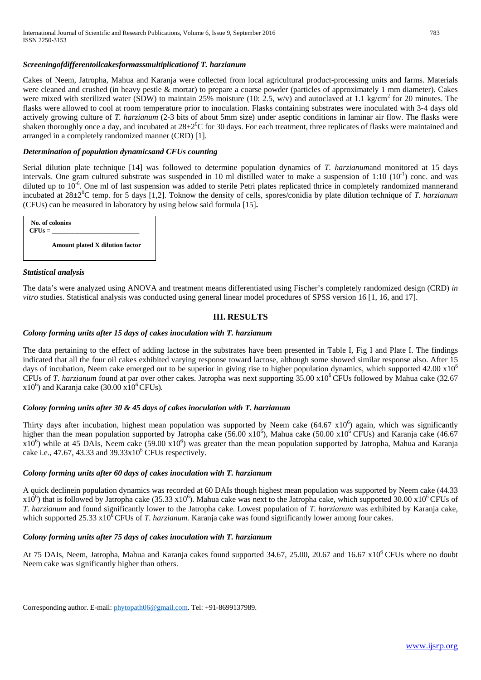#### *Screeningofdifferentoilcakesformassmultiplicationof T. harzianum*

Cakes of Neem, Jatropha, Mahua and Karanja were collected from local agricultural product-processing units and farms. Materials were cleaned and crushed (in heavy pestle & mortar) to prepare a coarse powder (particles of approximately 1 mm diameter). Cakes were mixed with sterilized water (SDW) to maintain 25% moisture (10: 2.5, w/v) and autoclaved at 1.1 kg/cm<sup>2</sup> for 20 minutes. The flasks were allowed to cool at room temperature prior to inoculation. Flasks containing substrates were inoculated with 3-4 days old actively growing culture of *T. harzianum* (2-3 bits of about 5mm size) under aseptic conditions in laminar air flow. The flasks were shaken thoroughly once a day, and incubated at  $28\pm2\textsuperscript{0}C$  for 30 days. For each treatment, three replicates of flasks were maintained and arranged in a completely randomized manner (CRD) [1].

#### *Determination of population dynamicsand CFUs counting*

Serial dilution plate technique [14] was followed to determine population dynamics of *T. harzianum*and monitored at 15 days intervals. One gram cultured substrate was suspended in 10 ml distilled water to make a suspension of 1:10  $(10^{-1})$  conc. and was diluted up to 10<sup>-6</sup>. One ml of last suspension was added to sterile Petri plates replicated thrice in completely randomized mannerand incubated at 28±2<sup>0</sup>C temp. for 5 days [1,2]. Toknow the density of cells, spores/conidia by plate dilution technique of *T. harzianum* (CFUs) can be measured in laboratory by using below said formula [15]**.** 

| No. of colonies<br>$CFUs =$     |  |
|---------------------------------|--|
| Amount plated X dilution factor |  |

#### *Statistical analysis*

The data's were analyzed using ANOVA and treatment means differentiated using Fischer's completely randomized design (CRD) *in vitro* studies. Statistical analysis was conducted using general linear model procedures of SPSS version 16 [1, 16, and 17].

## **III. RESULTS**

#### *Colony forming units after 15 days of cakes inoculation with T. harzianum*

The data pertaining to the effect of adding lactose in the substrates have been presented in Table I, Fig I and Plate I. The findings indicated that all the four oil cakes exhibited varying response toward lactose, although some showed similar response also. After 15 days of incubation, Neem cake emerged out to be superior in giving rise to higher population dynamics, which supported  $42.00 \times 10^6$ CFUs of *T. harzianum* found at par over other cakes. Jatropha was next supporting 35.00 x10<sup>6</sup> CFUs followed by Mahua cake (32.67)  $x10<sup>6</sup>$ ) and Karanja cake (30.00  $x10<sup>6</sup>$  CFUs).

#### *Colony forming units after 30 & 45 days of cakes inoculation with T. harzianum*

Thirty days after incubation, highest mean population was supported by Neem cake  $(64.67 \times 10^6)$  again, which was significantly higher than the mean population supported by Jatropha cake  $(56.00 \times 10^6)$ , Mahua cake  $(50.00 \times 10^6 \text{ CFUs})$  and Karanja cake  $(46.67$  $x10^6$ ) while at 45 DAIs, Neem cake (59.00  $x10^6$ ) was greater than the mean population supported by Jatropha, Mahua and Karanja cake i.e., 47.67, 43.33 and  $39.33 \times 10^6$  CFUs respectively.

#### *Colony forming units after 60 days of cakes inoculation with T. harzianum*

A quick declinein population dynamics was recorded at 60 DAIs though highest mean population was supported by Neem cake (44.33  $x10<sup>6</sup>$ ) that is followed by Jatropha cake (35.33 x10<sup>6</sup>). Mahua cake was next to the Jatropha cake, which supported 30.00 x10<sup>6</sup> CFUs of *T. harzianum* and found significantly lower to the Jatropha cake. Lowest population of *T. harzianum* was exhibited by Karanja cake, which supported 25.33 x10<sup>6</sup> CFUs of *T. harzianum.* Karanja cake was found significantly lower among four cakes.

#### *Colony forming units after 75 days of cakes inoculation with T. harzianum*

At 75 DAIs, Neem, Jatropha, Mahua and Karanja cakes found supported  $34.67$ ,  $25.00$ ,  $20.67$  and  $16.67 \times 10^6$  CFUs where no doubt Neem cake was significantly higher than others.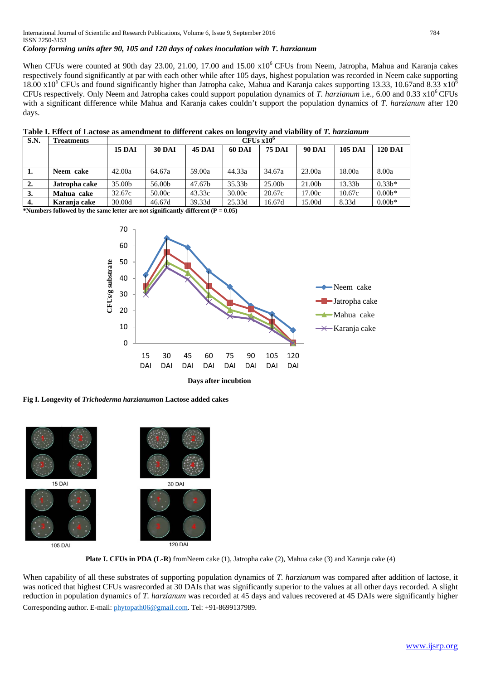## *Colony forming units after 90, 105 and 120 days of cakes inoculation with T. harzianum*

When CFUs were counted at 90th day 23.00, 21.00, 17.00 and 15.00 x10<sup>6</sup> CFUs from Neem, Jatropha, Mahua and Karanja cakes respectively found significantly at par with each other while after 105 days, highest population was recorded in Neem cake supporting 18.00 x10<sup>6</sup> CFUs and found significantly higher than Jatropha cake, Mahua and Karanja cakes supporting 13.33, 10.67and 8.33 x10<sup>6</sup> CFUs respectively*.* Only Neem and Jatropha cakes could support population dynamics of *T. harzianum* i.e., 6.00 and 0.33 x106 CFUs with a significant difference while Mahua and Karanja cakes couldn't support the population dynamics of *T. harzianum* after 120 days.

| Table I. Effect of Lactose as amendment to different cakes on longevity and viability of T. harzianum |  |  |
|-------------------------------------------------------------------------------------------------------|--|--|
|                                                                                                       |  |  |

| S.N. | <b>Treatments</b> | $CFUs x10^{\circ}$ |               |               |               |               |               |                |                |  |
|------|-------------------|--------------------|---------------|---------------|---------------|---------------|---------------|----------------|----------------|--|
|      |                   | <b>15 DAI</b>      | <b>30 DAI</b> | <b>45 DAI</b> | <b>60 DAI</b> | <b>75 DAI</b> | <b>90 DAI</b> | <b>105 DAI</b> | <b>120 DAI</b> |  |
|      |                   |                    |               |               |               |               |               |                |                |  |
| ı.   | Neem cake         | 42.00a             | 64.67a        | 59.00a        | 44.33a        | 34.67a        | 23.00a        | 18.00a         | 8.00a          |  |
| 2.   | Jatropha cake     | 35.00b             | 56.00b        | 47.67b        | 35.33b        | 25.00b        | 21.00b        | 13.33b         | $0.33b*$       |  |
| 3.   | Mahua cake        | 32.67c             | 50.00c        | 43.33c        | 30.00c        | 20.67c        | 17.00c        | 10.67c         | $0.00b$ *      |  |
| 4.   | Karania cake      | 30.00d             | 46.67d        | 39.33d        | 25.33d        | 16.67d        | 15.00d        | 8.33d          | $0.00b$ *      |  |

**\*Numbers followed by the same letter are not significantly different (P = 0.05)**



**Days after incubtion**

**Fig I. Longevity of** *Trichoderma harzianum***on Lactose added cakes**



**Plate I. CFUs in PDA (L-R)** fromNeem cake (1), Jatropha cake (2), Mahua cake (3) and Karanja cake (4)

Corresponding author. E-mail: [phytopath06@gmail.com.](mailto:phytopath06@gmail.com) Tel: +91-8699137989. When capability of all these substrates of supporting population dynamics of *T. harzianum* was compared after addition of lactose, it was noticed that highest CFUs wasrecorded at 30 DAIs that was significantly superior to the values at all other days recorded. A slight reduction in population dynamics of *T. harzianum* was recorded at 45 days and values recovered at 45 DAIs were significantly higher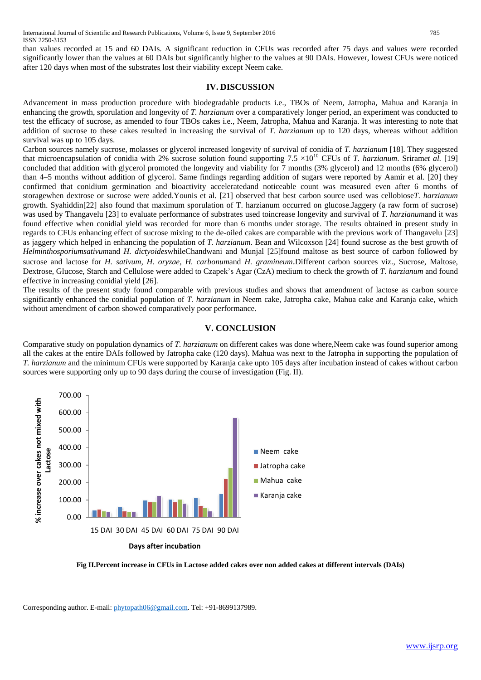than values recorded at 15 and 60 DAIs. A significant reduction in CFUs was recorded after 75 days and values were recorded significantly lower than the values at 60 DAIs but significantly higher to the values at 90 DAIs. However, lowest CFUs were noticed after 120 days when most of the substrates lost their viability except Neem cake.

#### **IV. DISCUSSION**

Advancement in mass production procedure with biodegradable products i.e., TBOs of Neem, Jatropha, Mahua and Karanja in enhancing the growth, sporulation and longevity of *T. harzianum* over a comparatively longer period, an experiment was conducted to test the efficacy of sucrose, as amended to four TBOs cakes i.e., Neem, Jatropha, Mahua and Karanja. It was interesting to note that addition of sucrose to these cakes resulted in increasing the survival of *T. harzianum* up to 120 days, whereas without addition survival was up to 105 days.

Carbon sources namely sucrose, molasses or glycerol increased longevity of survival of conidia of *T. harzianum* [18]. They suggested that microencapsulation of conidia with 2% sucrose solution found supporting  $7.5 \times 10^{10}$  CFUs of *T. harzianum.* Sriramet al. [19] concluded that addition with glycerol promoted the longevity and viability for 7 months (3% glycerol) and 12 months (6% glycerol) than 4–5 months without addition of glycerol. Same findings regarding addition of sugars were reported by Aamir et al. [20] they confirmed that conidium germination and bioactivity acceleratedand noticeable count was measured even after 6 months of storagewhen dextrose or sucrose were added.Younis et al. [21] observed that best carbon source used was cellobiose*T. harzianum* growth. Syahiddin[22] also found that maximum sporulation of T. harzianum occurred on glucose.Jaggery (a raw form of sucrose) was used by Thangavelu [23] to evaluate performance of substrates used toincrease longevity and survival of *T. harzianum*and it was found effective when conidial yield was recorded for more than 6 months under storage. The results obtained in present study in regards to CFUs enhancing effect of sucrose mixing to the de-oiled cakes are comparable with the previous work of Thangavelu [23] as jaggery which helped in enhancing the population of *T. harzianum*. Bean and Wilcoxson [24] found sucrose as the best growth of *Helminthosporiumsativum*and *H. dictyoides*whileChandwani and Munjal [25]found maltose as best source of carbon followed by sucrose and lactose for *H. sativum, H. oryzae, H. carbonum*and *H. gramineum*.Different carbon sources viz., Sucrose, Maltose, Dextrose, Glucose, Starch and Cellulose were added to Czapek's Agar (CzA) medium to check the growth of *T. harzianum* and found effective in increasing conidial yield [26].

The results of the present study found comparable with previous studies and shows that amendment of lactose as carbon source significantly enhanced the conidial population of *T. harzianum* in Neem cake, Jatropha cake, Mahua cake and Karanja cake, which without amendment of carbon showed comparatively poor performance.

#### **V. CONCLUSION**

Comparative study on population dynamics of *T. harzianum* on different cakes was done where,Neem cake was found superior among all the cakes at the entire DAIs followed by Jatropha cake (120 days). Mahua was next to the Jatropha in supporting the population of *T. harzianum* and the minimum CFUs were supported by Karanja cake upto 105 days after incubation instead of cakes without carbon sources were supporting only up to 90 days during the course of investigation (Fig. II).



**Fig II.Percent increase in CFUs in Lactose added cakes over non added cakes at different intervals (DAIs)**